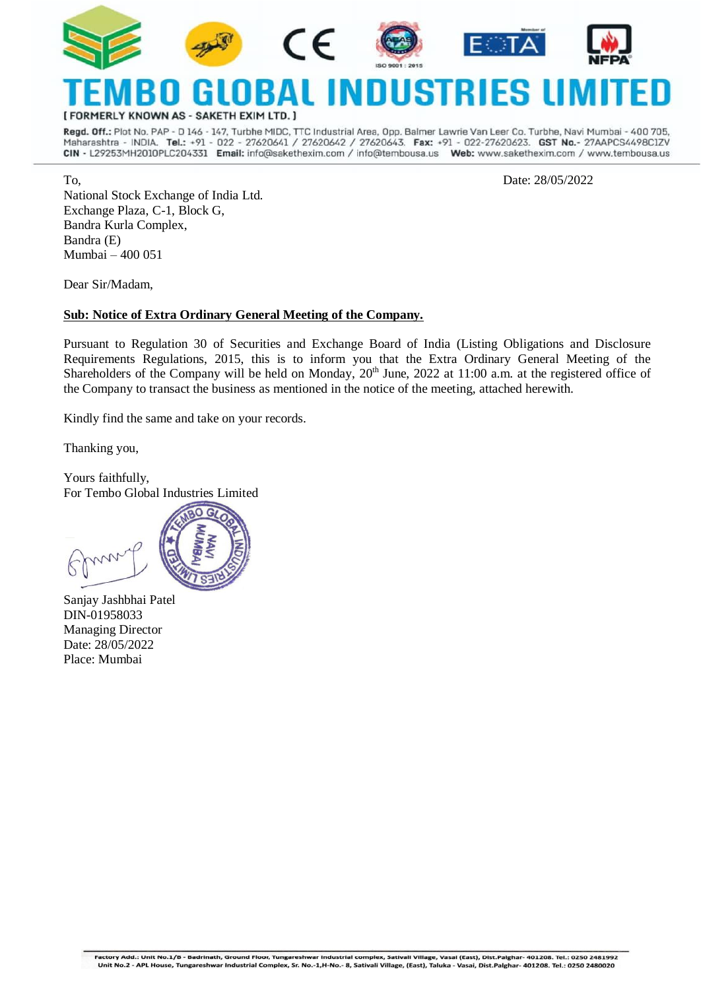

RMERLY KNOWN AS - SAKETH EXIM LTD. ]

Regd. Off.: Plot No. PAP - D 146 - 147, Turbhe MIDC, TTC Industrial Area, Opp. Balmer Lawrie Van Leer Co. Turbhe, Navi Mumbai - 400 705, Maharashtra - INDIA. Tel.: +91 - 022 - 27620641 / 27620642 / 27620643. Fax: +91 - 022-27620623. GST No.- 27AAPCS4498ClZV CIN - L29253MH2010PLC204331 Email: info@sakethexim.com / info@tembousa.us Web: www.sakethexim.com / www.tembousa.us

To, Date: 28/05/2022

National Stock Exchange of India Ltd. Exchange Plaza, C-1, Block G, Bandra Kurla Complex, Bandra (E) Mumbai – 400 051

Dear Sir/Madam,

#### **Sub: Notice of Extra Ordinary General Meeting of the Company.**

Pursuant to Regulation 30 of Securities and Exchange Board of India (Listing Obligations and Disclosure Requirements Regulations, 2015, this is to inform you that the Extra Ordinary General Meeting of the Shareholders of the Company will be held on Monday, 20<sup>th</sup> June, 2022 at 11:00 a.m. at the registered office of the Company to transact the business as mentioned in the notice of the meeting, attached herewith.

Kindly find the same and take on your records.

Thanking you,

Yours faithfully, For Tembo Global Industries Limited



Sanjay Jashbhai Patel DIN[-01958033](http://www.mca.gov.in/mcafoportal/companyLLPMasterData.do) Managing Director Date: 28/05/2022 Place: Mumbai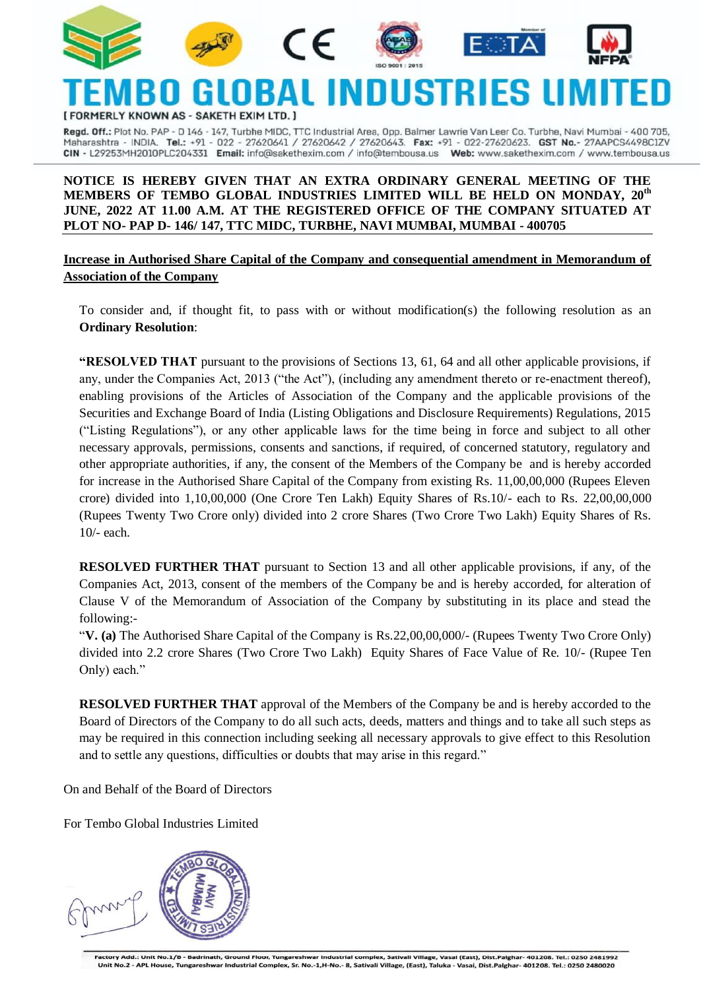











### INNI USTRI **IERLY KNOWN AS - SAKETH EXIM LTD.**

Regd. Off.: Plot No. PAP - D 146 - 147, Turbhe MIDC, TTC Industrial Area, Opp. Balmer Lawrie Van Leer Co. Turbhe, Navi Mumbai - 400 705, Maharashtra - INDIA. Tel.: +91 - 022 - 27620641 / 27620642 / 27620643. Fax: +91 - 022-27620623. GST No.- 27AAPCS4498C1ZV CIN - L29253MH2010PLC204331 Email: info@sakethexim.com / info@tembousa.us Web: www.sakethexim.com / www.tembousa.us

### **NOTICE IS HEREBY GIVEN THAT AN EXTRA ORDINARY GENERAL MEETING OF THE MEMBERS OF TEMBO GLOBAL INDUSTRIES LIMITED WILL BE HELD ON MONDAY, 20th JUNE, 2022 AT 11.00 A.M. AT THE REGISTERED OFFICE OF THE COMPANY SITUATED AT PLOT NO- PAP D- 146/ 147, TTC MIDC, TURBHE, NAVI MUMBAI, MUMBAI - 400705**

**Increase in Authorised Share Capital of the Company and consequential amendment in Memorandum of Association of the Company**

To consider and, if thought fit, to pass with or without modification(s) the following resolution as an **Ordinary Resolution**:

**"RESOLVED THAT** pursuant to the provisions of Sections 13, 61, 64 and all other applicable provisions, if any, under the Companies Act, 2013 ("the Act"), (including any amendment thereto or re-enactment thereof), enabling provisions of the Articles of Association of the Company and the applicable provisions of the Securities and Exchange Board of India (Listing Obligations and Disclosure Requirements) Regulations, 2015 ("Listing Regulations"), or any other applicable laws for the time being in force and subject to all other necessary approvals, permissions, consents and sanctions, if required, of concerned statutory, regulatory and other appropriate authorities, if any, the consent of the Members of the Company be and is hereby accorded for increase in the Authorised Share Capital of the Company from existing Rs. 11,00,00,000 (Rupees Eleven crore) divided into 1,10,00,000 (One Crore Ten Lakh) Equity Shares of Rs.10/- each to Rs. 22,00,00,000 (Rupees Twenty Two Crore only) divided into 2 crore Shares (Two Crore Two Lakh) Equity Shares of Rs. 10/- each.

**RESOLVED FURTHER THAT** pursuant to Section 13 and all other applicable provisions, if any, of the Companies Act, 2013, consent of the members of the Company be and is hereby accorded, for alteration of Clause V of the Memorandum of Association of the Company by substituting in its place and stead the following:-

"**V. (a)** The Authorised Share Capital of the Company is Rs.22,00,00,000/- (Rupees Twenty Two Crore Only) divided into 2.2 crore Shares (Two Crore Two Lakh) Equity Shares of Face Value of Re. 10/- (Rupee Ten Only) each."

**RESOLVED FURTHER THAT** approval of the Members of the Company be and is hereby accorded to the Board of Directors of the Company to do all such acts, deeds, matters and things and to take all such steps as may be required in this connection including seeking all necessary approvals to give effect to this Resolution and to settle any questions, difficulties or doubts that may arise in this regard."

On and Behalf of the Board of Directors

For Tembo Global Industries Limited

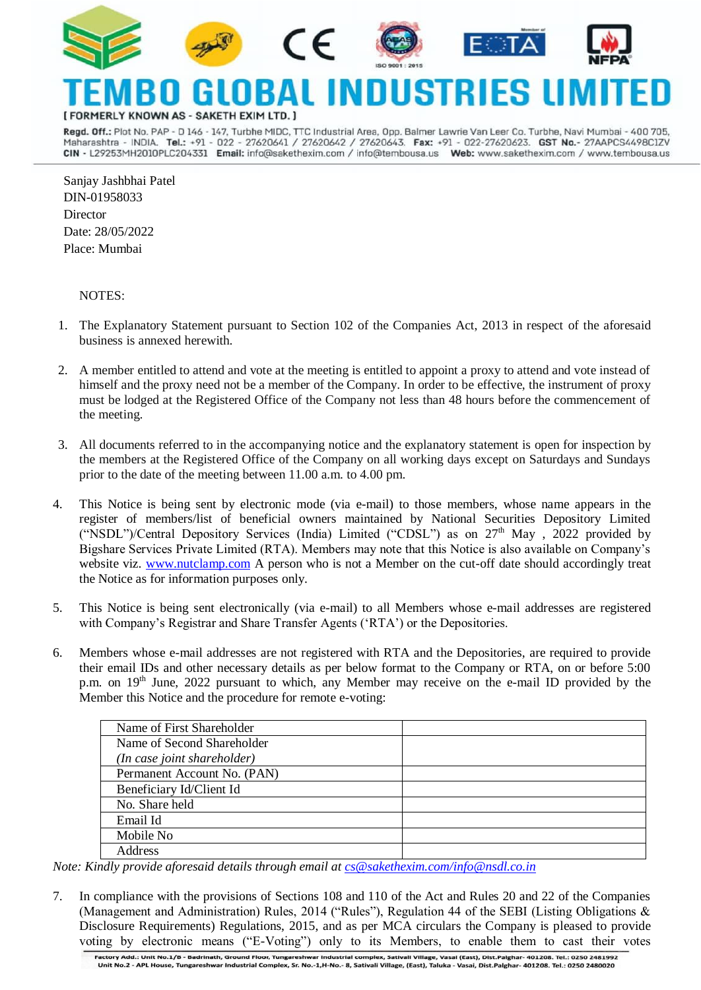

# **ERLY KNOWN AS**

Regd. Off.: Plot No. PAP - D 146 - 147, Turbhe MIDC, TTC Industrial Area, Opp. Balmer Lawrie Van Leer Co. Turbhe, Navi Mumbai - 400 705, Maharashtra - INDIA. Tel.: +91 - 022 - 27620641 / 27620642 / 27620643. Fax: +91 - 022-27620623. GST No.- 27AAPCS4498ClZV CIN - L29253MH2010PLC204331 Email: info@sakethexim.com / info@tembousa.us Web: www.sakethexim.com / www.tembousa.us

Sanjay Jashbhai Patel DIN[-01958033](http://www.mca.gov.in/mcafoportal/companyLLPMasterData.do) **Director** Date: 28/05/2022 Place: Mumbai

#### NOTES:

- 1. The Explanatory Statement pursuant to Section 102 of the Companies Act, 2013 in respect of the aforesaid business is annexed herewith.
- 2. A member entitled to attend and vote at the meeting is entitled to appoint a proxy to attend and vote instead of himself and the proxy need not be a member of the Company. In order to be effective, the instrument of proxy must be lodged at the Registered Office of the Company not less than 48 hours before the commencement of the meeting.
- 3. All documents referred to in the accompanying notice and the explanatory statement is open for inspection by the members at the Registered Office of the Company on all working days except on Saturdays and Sundays prior to the date of the meeting between 11.00 a.m. to 4.00 pm.
- 4. This Notice is being sent by electronic mode (via e-mail) to those members, whose name appears in the register of members/list of beneficial owners maintained by National Securities Depository Limited ("NSDL")/Central Depository Services (India) Limited ("CDSL") as on  $27<sup>th</sup>$  May,  $2022$  provided by Bigshare Services Private Limited (RTA). Members may note that this Notice is also available on Company's website viz. [www.nutclamp.com](http://www.nutclamp.com/) A person who is not a Member on the cut-off date should accordingly treat the Notice as for information purposes only.
- 5. This Notice is being sent electronically (via e-mail) to all Members whose e-mail addresses are registered with Company's Registrar and Share Transfer Agents ('RTA') or the Depositories.
- 6. Members whose e-mail addresses are not registered with RTA and the Depositories, are required to provide their email IDs and other necessary details as per below format to the Company or RTA, on or before 5:00 p.m. on 19<sup>th</sup> June, 2022 pursuant to which, any Member may receive on the e-mail ID provided by the Member this Notice and the procedure for remote e-voting:

| Name of First Shareholder   |  |
|-----------------------------|--|
| Name of Second Shareholder  |  |
| (In case joint shareholder) |  |
| Permanent Account No. (PAN) |  |
| Beneficiary Id/Client Id    |  |
| No. Share held              |  |
| Email Id                    |  |
| Mobile No                   |  |
| Address                     |  |

*Note: Kindly provide aforesaid details through email at [cs@sakethexim.com/i](mailto:cs@sakethexim.com/)nfo@nsdl.co.in* 

7. In compliance with the provisions of Sections 108 and 110 of the Act and Rules 20 and 22 of the Companies (Management and Administration) Rules, 2014 ("Rules"), Regulation 44 of the SEBI (Listing Obligations & Disclosure Requirements) Regulations, 2015, and as per MCA circulars the Company is pleased to provide voting by electronic means ("E-Voting") only to its Members, to enable them to cast their votes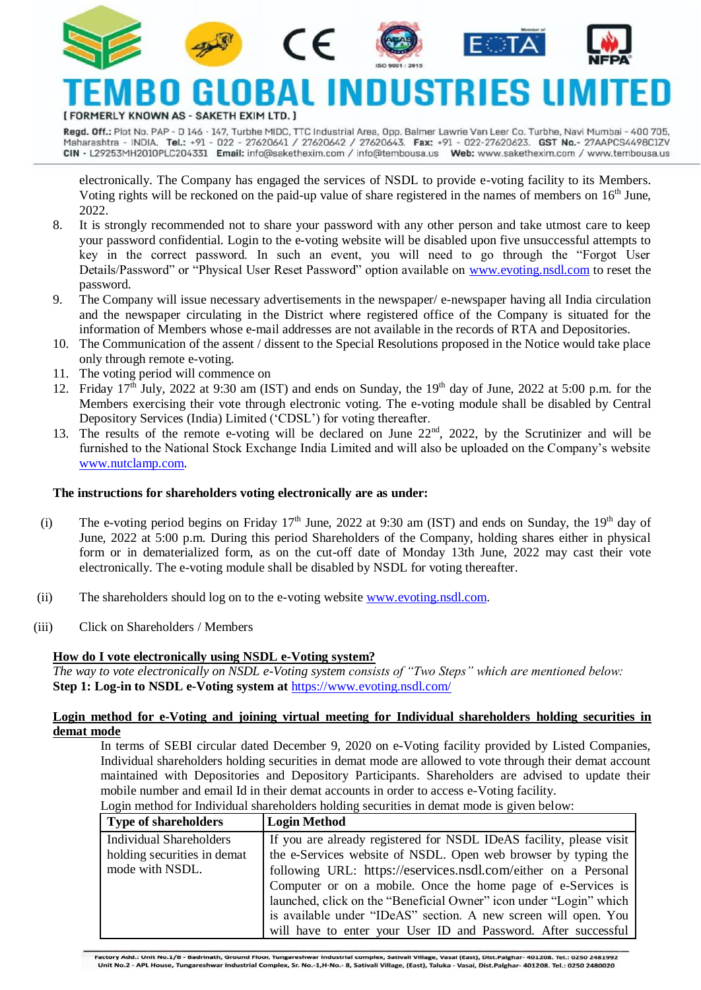







#### INN IRTR ERLY KNOWN AS - SAKETH EXIM LTD. ]

Regd. Off.: Plot No. PAP - D 146 - 147, Turbhe MIDC, TTC Industrial Area, Opp. Balmer Lawrie Van Leer Co. Turbhe, Navi Mumbai - 400 705, Maharashtra - INDIA. Tel.: +91 - 022 - 27620641 / 27620642 / 27620643. Fax: +91 - 022-27620623. GST No.- 27AAPCS4498C1ZV CIN - L29253MH2010PLC204331 Email: info@sakethexim.com / info@tembousa.us Web: www.sakethexim.com / www.tembousa.us

electronically. The Company has engaged the services of NSDL to provide e-voting facility to its Members. Voting rights will be reckoned on the paid-up value of share registered in the names of members on 16<sup>th</sup> June, 2022.

- 8. It is strongly recommended not to share your password with any other person and take utmost care to keep your password confidential. Login to the e-voting website will be disabled upon five unsuccessful attempts to key in the correct password. In such an event, you will need to go through the "Forgot User Details/Password" or "Physical User Reset Password" option available on www.evoting.nsdl.com to reset the password.
- 9. The Company will issue necessary advertisements in the newspaper/ e-newspaper having all India circulation and the newspaper circulating in the District where registered office of the Company is situated for the information of Members whose e-mail addresses are not available in the records of RTA and Depositories.
- 10. The Communication of the assent / dissent to the Special Resolutions proposed in the Notice would take place only through remote e-voting.
- 11. The voting period will commence on
- 12. Friday  $17^{th}$  July, 2022 at 9:30 am (IST) and ends on Sunday, the  $19^{th}$  day of June, 2022 at 5:00 p.m. for the Members exercising their vote through electronic voting. The e-voting module shall be disabled by Central Depository Services (India) Limited ('CDSL') for voting thereafter.
- 13. The results of the remote e-voting will be declared on June 22<sup>nd</sup>, 2022, by the Scrutinizer and will be furnished to the National Stock Exchange India Limited and will also be uploaded on the Company's website [www.nutclamp.com.](http://www.nutclamp.com/)

### **The instructions for shareholders voting electronically are as under:**

- (i) The e-voting period begins on Friday 17<sup>th</sup> June, 2022 at 9:30 am (IST) and ends on Sunday, the 19<sup>th</sup> day of June, 2022 at 5:00 p.m. During this period Shareholders of the Company, holding shares either in physical form or in dematerialized form, as on the cut-off date of Monday 13th June, 2022 may cast their vote electronically. The e-voting module shall be disabled by NSDL for voting thereafter.
- (ii) The shareholders should log on to the e-voting website www.evoting.nsdl.com.
- (iii) Click on Shareholders / Members

### **How do I vote electronically using NSDL e-Voting system?**

*The way to vote electronically on NSDL e-Voting system consists of "Two Steps" which are mentioned below:* **Step 1: Log-in to NSDL e-Voting system at** <https://www.evoting.nsdl.com/>

#### **Login method for e-Voting and joining virtual meeting for Individual shareholders holding securities in demat mode**

In terms of SEBI circular dated December 9, 2020 on e-Voting facility provided by Listed Companies, Individual shareholders holding securities in demat mode are allowed to vote through their demat account maintained with Depositories and Depository Participants. Shareholders are advised to update their mobile number and email Id in their demat accounts in order to access e-Voting facility.

| Login method for Individual shareholders holding securities in demat mode is given below: |
|-------------------------------------------------------------------------------------------|
|-------------------------------------------------------------------------------------------|

| <b>Type of shareholders</b>    | <b>Login Method</b>                                                 |  |  |  |
|--------------------------------|---------------------------------------------------------------------|--|--|--|
| <b>Individual Shareholders</b> | If you are already registered for NSDL IDeAS facility, please visit |  |  |  |
| holding securities in demat    | the e-Services website of NSDL. Open web browser by typing the      |  |  |  |
| mode with NSDL.                | following URL: https://eservices.nsdl.com/either on a Personal      |  |  |  |
|                                | Computer or on a mobile. Once the home page of e-Services is        |  |  |  |
|                                | launched, click on the "Beneficial Owner" icon under "Login" which  |  |  |  |
|                                | is available under "IDeAS" section. A new screen will open. You     |  |  |  |
|                                | will have to enter your User ID and Password. After successful      |  |  |  |

Factory Add.: Unit No.1/B - Badrinath, Ground Floor, Tungareshwar Industrial complex, Sativali Village, Vasai (East), Dist.Palghar- 401208. Tel.: 0250 2481992 Unit No.2 - APL House, Tungareshwar Industrial Complex, Sr. No.-1,H-No.- 8, Sativali Village, (East), Taluka - Vasai, Dist.Palghar- 401208. Tel.: 0250 2480020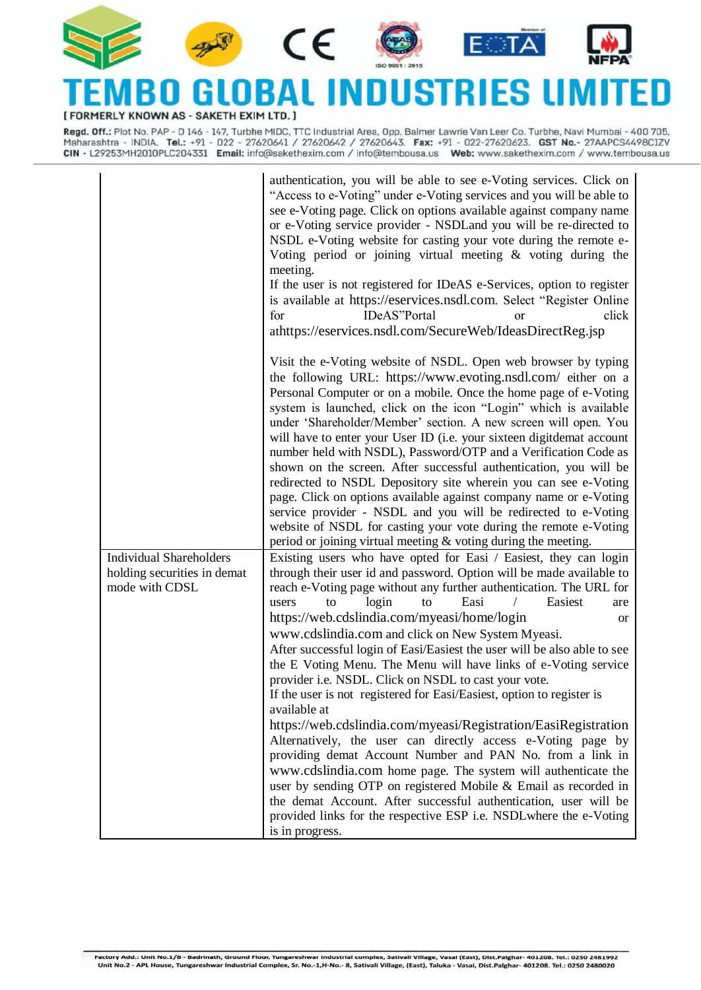

#### DBAI NDUSTRII TFN ES L n [ FORMERLY KNOWN AS - SAKETH EXIM LTD. ]

Regd. Off.: Plot No. PAP - D 146 - 147, Turbhe MIDC, TTC Industrial Area, Opp. Balmer Lawrie Van Leer Co. Turbhe, Navi Mumbai - 400 705, Maharashtra - INDIA. Tel.: +91 - 022 - 27620641 / 27620642 / 27620643. Fax: +91 - 022-27620623. GST No.- 27AAPCS4498C1ZV<br>CIN - L29253MH2010PLC204331 Email: info@sakethexim.com / info@tembousa.us Web: www.sakethexim.com / w

|                                | authentication, you will be able to see e-Voting services. Click on<br>"Access to e-Voting" under e-Voting services and you will be able to<br>see e-Voting page. Click on options available against company name<br>or e-Voting service provider - NSDLand you will be re-directed to<br>NSDL e-Voting website for casting your vote during the remote e-<br>Voting period or joining virtual meeting $\&$ voting during the<br>meeting.<br>If the user is not registered for IDeAS e-Services, option to register<br>is available at https://eservices.nsdl.com. Select "Register Online<br>click<br>for<br>IDeAS"Portal<br><sub>or</sub><br>athttps://eservices.nsdl.com/SecureWeb/IdeasDirectReg.jsp                                                                                                                                                                                                     |
|--------------------------------|--------------------------------------------------------------------------------------------------------------------------------------------------------------------------------------------------------------------------------------------------------------------------------------------------------------------------------------------------------------------------------------------------------------------------------------------------------------------------------------------------------------------------------------------------------------------------------------------------------------------------------------------------------------------------------------------------------------------------------------------------------------------------------------------------------------------------------------------------------------------------------------------------------------|
|                                | Visit the e-Voting website of NSDL. Open web browser by typing<br>the following URL: https://www.evoting.nsdl.com/ either on a<br>Personal Computer or on a mobile. Once the home page of e-Voting<br>system is launched, click on the icon "Login" which is available<br>under 'Shareholder/Member' section. A new screen will open. You<br>will have to enter your User ID (i.e. your sixteen digitdemat account<br>number held with NSDL), Password/OTP and a Verification Code as<br>shown on the screen. After successful authentication, you will be<br>redirected to NSDL Depository site wherein you can see e-Voting<br>page. Click on options available against company name or e-Voting<br>service provider - NSDL and you will be redirected to e-Voting<br>website of NSDL for casting your vote during the remote e-Voting<br>period or joining virtual meeting $&$ voting during the meeting. |
| <b>Individual Shareholders</b> | Existing users who have opted for Easi / Easiest, they can login                                                                                                                                                                                                                                                                                                                                                                                                                                                                                                                                                                                                                                                                                                                                                                                                                                             |
| holding securities in demat    | through their user id and password. Option will be made available to                                                                                                                                                                                                                                                                                                                                                                                                                                                                                                                                                                                                                                                                                                                                                                                                                                         |
| mode with CDSL                 | reach e-Voting page without any further authentication. The URL for<br>login<br>Easi<br>Easiest<br>to<br>users<br>to<br>are                                                                                                                                                                                                                                                                                                                                                                                                                                                                                                                                                                                                                                                                                                                                                                                  |
|                                | https://web.cdslindia.com/myeasi/home/login<br><b>or</b>                                                                                                                                                                                                                                                                                                                                                                                                                                                                                                                                                                                                                                                                                                                                                                                                                                                     |
|                                | www.cdslindia.com and click on New System Myeasi.                                                                                                                                                                                                                                                                                                                                                                                                                                                                                                                                                                                                                                                                                                                                                                                                                                                            |
|                                | After successful login of Easi/Easiest the user will be also able to see<br>the E Voting Menu. The Menu will have links of e-Voting service<br>provider i.e. NSDL. Click on NSDL to cast your vote.<br>If the user is not registered for Easi/Easiest, option to register is<br>available at                                                                                                                                                                                                                                                                                                                                                                                                                                                                                                                                                                                                                 |
|                                | https://web.cdslindia.com/myeasi/Registration/EasiRegistration                                                                                                                                                                                                                                                                                                                                                                                                                                                                                                                                                                                                                                                                                                                                                                                                                                               |
|                                | Alternatively, the user can directly access e-Voting page by<br>providing demat Account Number and PAN No. from a link in                                                                                                                                                                                                                                                                                                                                                                                                                                                                                                                                                                                                                                                                                                                                                                                    |
|                                | www.cdslindia.com home page. The system will authenticate the                                                                                                                                                                                                                                                                                                                                                                                                                                                                                                                                                                                                                                                                                                                                                                                                                                                |
|                                | user by sending OTP on registered Mobile & Email as recorded in<br>the demat Account. After successful authentication, user will be<br>provided links for the respective ESP i.e. NSDLwhere the e-Voting<br>is in progress.                                                                                                                                                                                                                                                                                                                                                                                                                                                                                                                                                                                                                                                                                  |
|                                |                                                                                                                                                                                                                                                                                                                                                                                                                                                                                                                                                                                                                                                                                                                                                                                                                                                                                                              |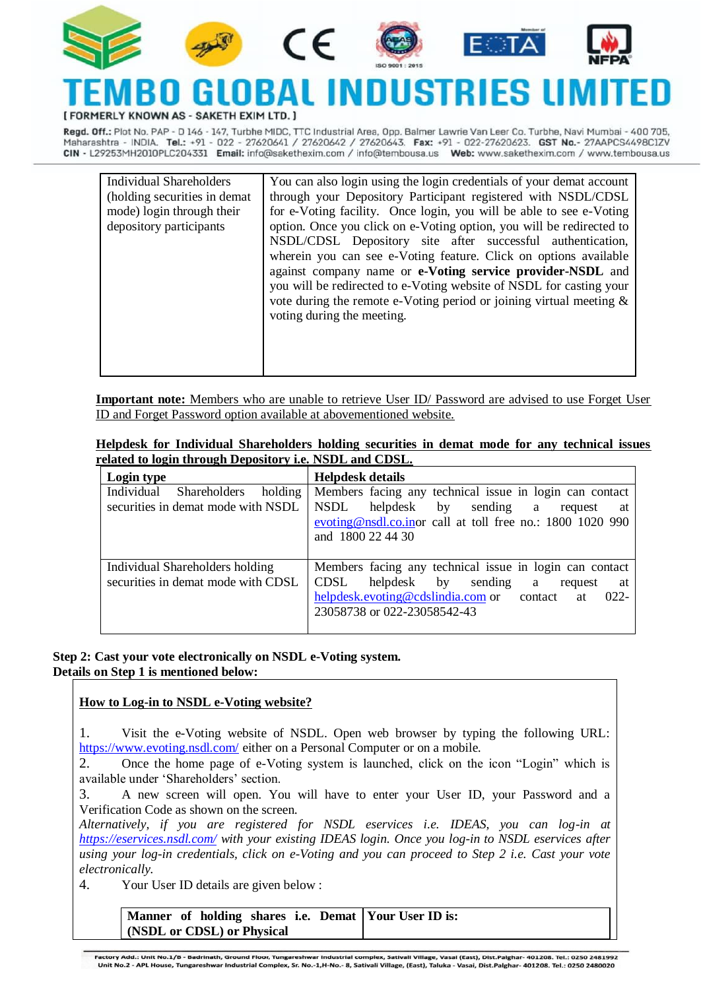

## Y KNOWN AS - SAKETH EXIM LT

Regd. Off.: Plot No. PAP - D 146 - 147, Turbhe MIDC, TTC Industrial Area, Opp. Balmer Lawrie Van Leer Co. Turbhe, Navi Mumbai - 400 705, Maharashtra - INDIA. Tel.: +91 - 022 - 27620641 / 27620642 / 27620643. Fax: +91 - 022-27620623. GST No.- 27AAPCS4498ClZV CIN - L29253MH2010PLC204331 Email: info@sakethexim.com / info@tembousa.us Web: www.sakethexim.com / www.tembousa.us

| Individual Shareholders<br>(holding securities in demat)<br>mode) login through their<br>depository participants | You can also login using the login credentials of your demat account<br>through your Depository Participant registered with NSDL/CDSL<br>for e-Voting facility. Once login, you will be able to see e-Voting<br>option. Once you click on e-Voting option, you will be redirected to<br>NSDL/CDSL Depository site after successful authentication,<br>wherein you can see e-Voting feature. Click on options available<br>against company name or e-Voting service provider-NSDL and<br>you will be redirected to e-Voting website of NSDL for casting your<br>vote during the remote e-Voting period or joining virtual meeting $\&$<br>voting during the meeting. |
|------------------------------------------------------------------------------------------------------------------|---------------------------------------------------------------------------------------------------------------------------------------------------------------------------------------------------------------------------------------------------------------------------------------------------------------------------------------------------------------------------------------------------------------------------------------------------------------------------------------------------------------------------------------------------------------------------------------------------------------------------------------------------------------------|
|                                                                                                                  |                                                                                                                                                                                                                                                                                                                                                                                                                                                                                                                                                                                                                                                                     |

**Important note:** Members who are unable to retrieve User ID/ Password are advised to use Forget User ID and Forget Password option available at abovementioned website.

|  | Helpdesk for Individual Shareholders holding securities in demat mode for any technical issues |  |  |  |  |  |
|--|------------------------------------------------------------------------------------------------|--|--|--|--|--|
|  | related to login through Depository i.e. NSDL and CDSL.                                        |  |  |  |  |  |

| Login type                                                                         | <b>Helpdesk details</b>                                                                                                                                                                                   |
|------------------------------------------------------------------------------------|-----------------------------------------------------------------------------------------------------------------------------------------------------------------------------------------------------------|
| Individual<br><b>Shareholders</b><br>holding<br>securities in demat mode with NSDL | Members facing any technical issue in login can contact<br><b>NSDL</b><br>helpdesk by<br>sending a<br>request<br>at<br>evoting@nsdl.co.inor call at toll free no.: 1800 1020 990<br>and 1800 22 44 30     |
| Individual Shareholders holding<br>securities in demat mode with CDSL              | Members facing any technical issue in login can contact<br>CDSL<br>helpdesk by<br>sending a<br>request<br>at<br>helpdesk.evoting@cdslindia.com or contact<br>$022 -$<br>at<br>23058738 or 022-23058542-43 |

**Step 2: Cast your vote electronically on NSDL e-Voting system. Details on Step 1 is mentioned below:**

### **How to Log-in to NSDL e-Voting website?**

1. Visit the e-Voting website of NSDL. Open web browser by typing the following URL: <https://www.evoting.nsdl.com/> either on a Personal Computer or on a mobile.

2. Once the home page of e-Voting system is launched, click on the icon "Login" which is available under 'Shareholders' section.

3. A new screen will open. You will have to enter your User ID, your Password and a Verification Code as shown on the screen.

*Alternatively, if you are registered for NSDL eservices i.e. IDEAS, you can log-in at <https://eservices.nsdl.com/> with your existing IDEAS login. Once you log-in to NSDL eservices after using your log-in credentials, click on e-Voting and you can proceed to Step 2 i.e. Cast your vote electronically.*

4. Your User ID details are given below :

**Manner of holding shares i.e. Demat (NSDL or CDSL) or Physical Your User ID is:**

Factory Add.: Unit No.1/B - Badrinath, Ground Floor, Tungareshwar Industrial complex, Sativali Village, Vasai (East), Dist.Palghar- 401208. Tel.: 0250 2481992 Unit No.2 - APL House, Tungareshwar Industrial Complex, Sr. No.-1,H-No.- 8, Sativali Village, (East), Taluka - Vasai, Dist.Palghar- 401208. Tel.: 0250 2480020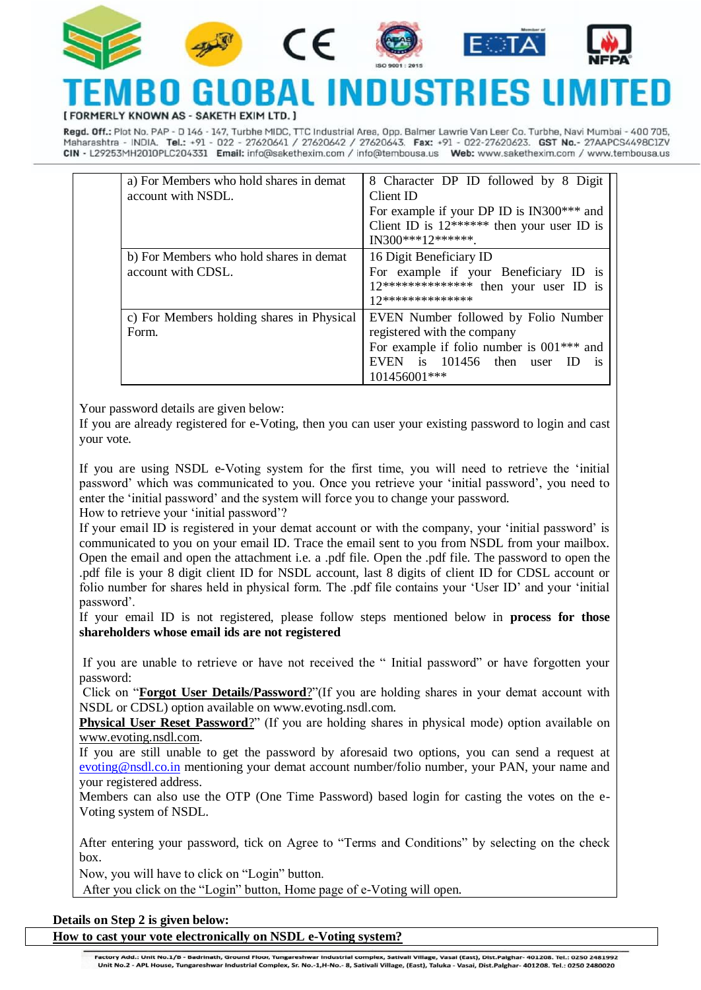











**KNOWN AS** 

Regd. Off.: Plot No. PAP - D 146 - 147, Turbhe MIDC, TTC Industrial Area, Opp. Balmer Lawrie Van Leer Co. Turbhe, Navi Mumbai - 400 705, Maharashtra - INDIA. Tel.: +91 - 022 - 27620641 / 27620642 / 27620643. Fax: +91 - 022-27620623. GST No.- 27AAPCS4498ClZV CIN - L29253MH2010PLC204331 Email: info@sakethexim.com / info@tembousa.us Web: www.sakethexim.com / www.tembousa.us

| a) For Members who hold shares in demat<br>account with NSDL. | 8 Character DP ID followed by 8 Digit<br>Client ID<br>For example if your DP ID is IN300*** and<br>Client ID is $12******$ then your user ID is<br>IN300***12*******.            |
|---------------------------------------------------------------|----------------------------------------------------------------------------------------------------------------------------------------------------------------------------------|
| b) For Members who hold shares in demat<br>account with CDSL. | 16 Digit Beneficiary ID<br>For example if your Beneficiary ID is<br>12************** then your user ID is<br>12***************                                                   |
| c) For Members holding shares in Physical<br>Form.            | EVEN Number followed by Folio Number<br>registered with the company<br>For example if folio number is $001***$ and<br>EVEN is $101456$ then user ID<br><b>1S</b><br>101456001*** |

5. Your password details are given below:

If you are already registered for e-Voting, then you can user your existing password to login and cast your vote.

b) If you are using NSDL e-Voting system for the first time, you will need to retrieve the 'initial password' which was communicated to you. Once you retrieve your 'initial password', you need to enter the 'initial password' and the system will force you to change your password.

How to retrieve your 'initial password'?

If your email ID is registered in your demat account or with the company, your 'initial password' is communicated to you on your email ID. Trace the email sent to you from NSDL from your mailbox. Open the email and open the attachment i.e. a .pdf file. Open the .pdf file. The password to open the .pdf file is your 8 digit client ID for NSDL account, last 8 digits of client ID for CDSL account or folio number for shares held in physical form. The .pdf file contains your 'User ID' and your 'initial password'.

If your email ID is not registered, please follow steps mentioned below in **process for those shareholders whose email ids are not registered**

If you are unable to retrieve or have not received the " Initial password" or have forgotten your password:

a) Click on "**[Forgot User Details/Password](https://www.evoting.nsdl.com/eVotingWeb/commonhtmls/NewUser.jsp)**?"(If you are holding shares in your demat account with NSDL or CDSL) option available on www.evoting.nsdl.com.

**[Physical User Reset Password](https://www.evoting.nsdl.com/eVotingWeb/commonhtmls/PhysicalUser.jsp)**?" (If you are holding shares in physical mode) option available on [www.evoting.nsdl.com.](http://www.evoting.nsdl.com/)

If you are still unable to get the password by aforesaid two options, you can send a request at [evoting@nsdl.co.in](mailto:evoting@nsdl.co.in) mentioning your demat account number/folio number, your PAN, your name and your registered address.

Members can also use the OTP (One Time Password) based login for casting the votes on the e-Voting system of NSDL.

After entering your password, tick on Agree to "Terms and Conditions" by selecting on the check box.

Now, you will have to click on "Login" button.

After you click on the "Login" button, Home page of e-Voting will open.

### **Details on Step 2 is given below:**

**How to cast your vote electronically on NSDL e-Voting system?**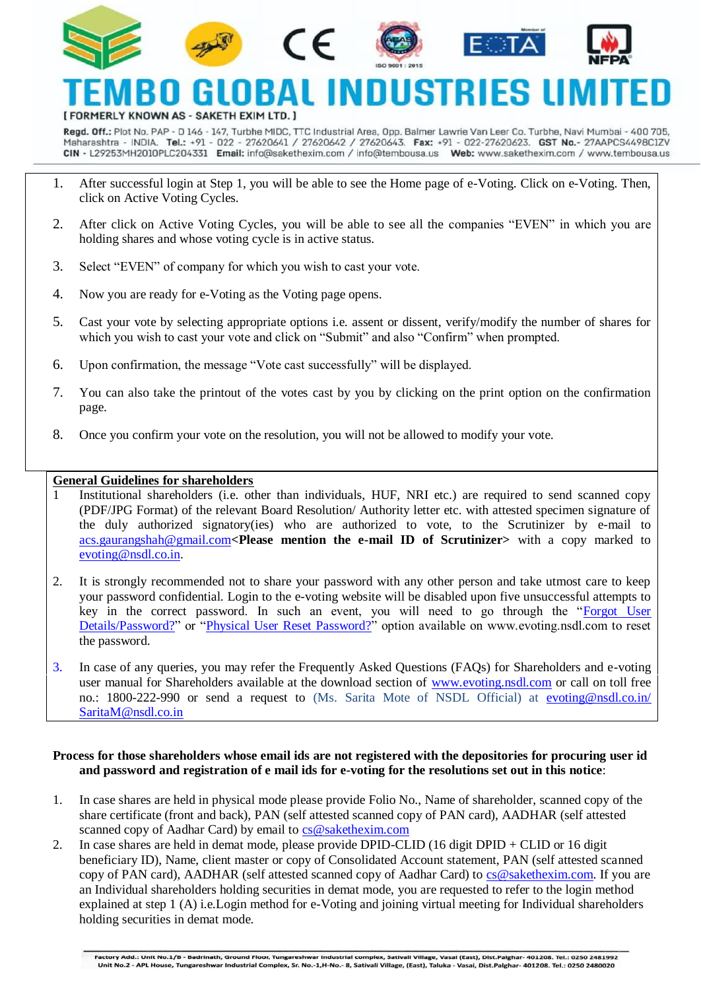





 $\epsilon$ 





#### L INDUSTRIES LIN ORAI ERLY KNOWN AS - SAKETH EXIM LTD

Regd. Off.: Plot No. PAP - D 146 - 147, Turbhe MIDC, TTC Industrial Area, Opp. Balmer Lawrie Van Leer Co. Turbhe, Navi Mumbai - 400 705, Maharashtra - INDIA. Tel.: +91 - 022 - 27620641 / 27620642 / 27620643. Fax: +91 - 022-27620623. GST No.- 27AAPCS4498ClZV CIN - L29253MH2010PLC204331 Email: info@sakethexim.com / info@tembousa.us Web: www.sakethexim.com / www.tembousa.us

- 1. After successful login at Step 1, you will be able to see the Home page of e-Voting. Click on e-Voting. Then, click on Active Voting Cycles.
- 2. After click on Active Voting Cycles, you will be able to see all the companies "EVEN" in which you are holding shares and whose voting cycle is in active status.
- 3. Select "EVEN" of company for which you wish to cast your vote.
- 4. Now you are ready for e-Voting as the Voting page opens.
- 5. Cast your vote by selecting appropriate options i.e. assent or dissent, verify/modify the number of shares for which you wish to cast your vote and click on "Submit" and also "Confirm" when prompted.
- 6. Upon confirmation, the message "Vote cast successfully" will be displayed.
- 7. You can also take the printout of the votes cast by you by clicking on the print option on the confirmation page.
- 8. Once you confirm your vote on the resolution, you will not be allowed to modify your vote.

### **General Guidelines for shareholders**

- 1 Institutional shareholders (i.e. other than individuals, HUF, NRI etc.) are required to send scanned copy (PDF/JPG Format) of the relevant Board Resolution/ Authority letter etc. with attested specimen signature of the duly authorized signatory(ies) who are authorized to vote, to the Scrutinizer by e-mail to [acs.gaurangshah@gmail.com](mailto:acs.gaurangshah@gmail.com)**<Please mention the e-mail ID of Scrutinizer>** with a copy marked to [evoting@nsdl.co.in.](mailto:evoting@nsdl.co.in)
- 2. It is strongly recommended not to share your password with any other person and take utmost care to keep your password confidential. Login to the e-voting website will be disabled upon five unsuccessful attempts to key in the correct password. In such an event, you will need to go through the ["Forgot User](https://www.evoting.nsdl.com/eVotingWeb/commonhtmls/NewUser.jsp)  [Details/Password?"](https://www.evoting.nsdl.com/eVotingWeb/commonhtmls/NewUser.jsp) or ["Physical User Reset Password?"](https://www.evoting.nsdl.com/eVotingWeb/commonhtmls/PhysicalUser.jsp) option available on www.evoting.nsdl.com to reset the password.
- 3. In case of any queries, you may refer the Frequently Asked Questions (FAQs) for Shareholders and e-voting user manual for Shareholders available at the download section of [www.evoting.nsdl.com](http://www.evoting.nsdl.com/) or call on toll free no.: 1800-222-990 or send a request to (Ms. Sarita Mote of NSDL Official) at [evoting@nsdl.co.in/](mailto:evoting@nsdl.co.in) SaritaM@nsdl.co.in

### **Process for those shareholders whose email ids are not registered with the depositories for procuring user id and password and registration of e mail ids for e-voting for the resolutions set out in this notice**:

- 1. In case shares are held in physical mode please provide Folio No., Name of shareholder, scanned copy of the share certificate (front and back), PAN (self attested scanned copy of PAN card), AADHAR (self attested scanned copy of Aadhar Card) by email to [cs@sakethexim.com](mailto:cs@sakethexim.com)
- 2. In case shares are held in demat mode, please provide DPID-CLID (16 digit DPID + CLID or 16 digit beneficiary ID), Name, client master or copy of Consolidated Account statement, PAN (self attested scanned copy of PAN card), AADHAR (self attested scanned copy of Aadhar Card) to [cs@sakethexim.com.](mailto:cs@sakethexim.com) If you are an Individual shareholders holding securities in demat mode, you are requested to refer to the login method explained at step 1 (A) i.e.Login method for e-Voting and joining virtual meeting for Individual shareholders holding securities in demat mode.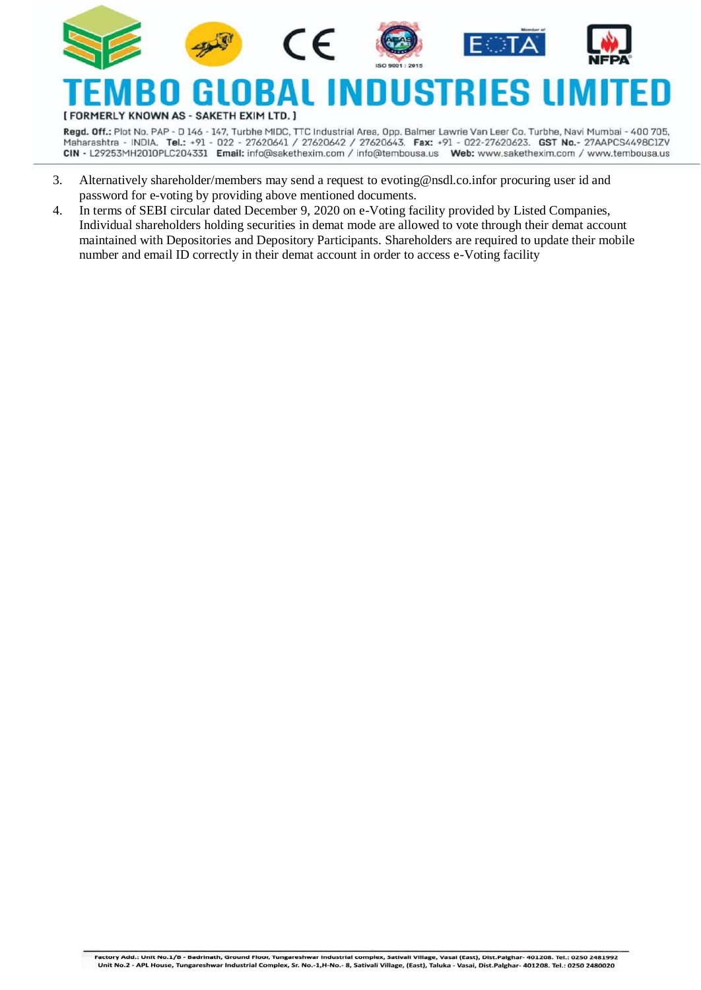

RMERLY KNOWN AS - SAKETH EXIM LTD. ]

Regd. Off.: Plot No. PAP - D 146 - 147, Turbhe MIDC, TTC Industrial Area, Opp. Balmer Lawrie Van Leer Co. Turbhe, Navi Mumbai - 400 705, Maharashtra - INDIA. Tel.: +91 - 022 - 27620641 / 27620642 / 27620643. Fax: +91 - 022-27620623. GST No.- 27AAPCS4498ClZV CIN - L29253MH2010PLC204331 Email: info@sakethexim.com / info@tembousa.us Web: www.sakethexim.com / www.tembousa.us

- 3. Alternatively shareholder/members may send a request to [evoting@nsdl.co.inf](mailto:evoting@nsdl.co.in)or procuring user id and password for e-voting by providing above mentioned documents.
- 4. In terms of SEBI circular dated December 9, 2020 on e-Voting facility provided by Listed Companies, Individual shareholders holding securities in demat mode are allowed to vote through their demat account maintained with Depositories and Depository Participants. Shareholders are required to update their mobile number and email ID correctly in their demat account in order to access e-Voting facility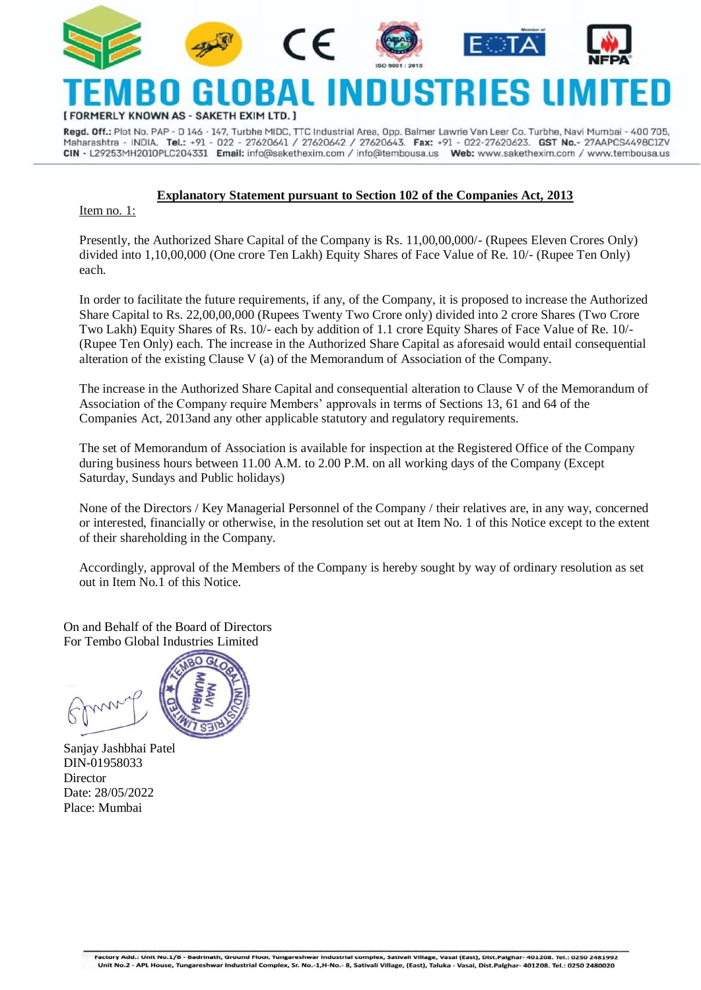











# ERLY KNOWN AS - SAKETH EXIM LTD.

Regd. Off.: Plot No. PAP - D 146 - 147, Turbhe MIDC, TTC Industrial Area, Opp. Balmer Lawrie Van Leer Co. Turbhe, Navi Mumbai - 400 705, Maharashtra - INDIA. Tel.: +91 - 022 - 27620641 / 27620642 / 27620643. Fax: +91 - 022-27620623. GST No.- 27AAPCS4498C1ZV CIN - L29253MH2010PLC204331 Email: info@sakethexim.com / info@tembousa.us Web: www.sakethexim.com / www.tembousa.us

### **Explanatory Statement pursuant to Section 102 of the Companies Act, 2013**

Item no. 1:

Presently, the Authorized Share Capital of the Company is Rs. 11,00,00,000/- (Rupees Eleven Crores Only) divided into 1,10,00,000 (One crore Ten Lakh) Equity Shares of Face Value of Re. 10/- (Rupee Ten Only) each.

In order to facilitate the future requirements, if any, of the Company, it is proposed to increase the Authorized Share Capital to Rs. 22,00,00,000 (Rupees Twenty Two Crore only) divided into 2 crore Shares (Two Crore Two Lakh) Equity Shares of Rs. 10/- each by addition of 1.1 crore Equity Shares of Face Value of Re. 10/- (Rupee Ten Only) each. The increase in the Authorized Share Capital as aforesaid would entail consequential alteration of the existing Clause V (a) of the Memorandum of Association of the Company.

The increase in the Authorized Share Capital and consequential alteration to Clause V of the Memorandum of Association of the Company require Members' approvals in terms of Sections 13, 61 and 64 of the Companies Act, 2013and any other applicable statutory and regulatory requirements.

The set of Memorandum of Association is available for inspection at the Registered Office of the Company during business hours between 11.00 A.M. to 2.00 P.M. on all working days of the Company (Except Saturday, Sundays and Public holidays)

None of the Directors / Key Managerial Personnel of the Company / their relatives are, in any way, concerned or interested, financially or otherwise, in the resolution set out at Item No. 1 of this Notice except to the extent of their shareholding in the Company.

Accordingly, approval of the Members of the Company is hereby sought by way of ordinary resolution as set out in Item No.1 of this Notice.

On and Behalf of the Board of Directors For Tembo Global Industries Limited



Sanjay Jashbhai Patel DIN[-01958033](http://www.mca.gov.in/mcafoportal/companyLLPMasterData.do) Director Date: 28/05/2022 Place: Mumbai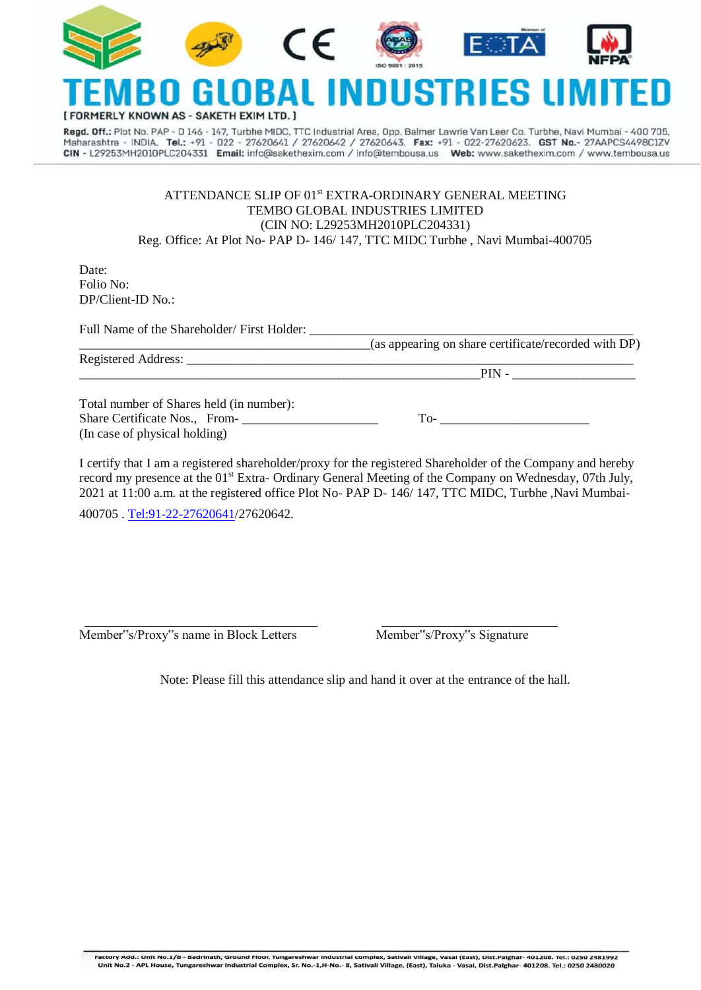

#### nı IIS1 ERLY KNOWN AS - SAKETH EXIM LTD.

Regd. Off.: Plot No. PAP - D 146 - 147, Turbhe MIDC, TTC Industrial Area, Opp. Balmer Lawrie Van Leer Co. Turbhe, Navi Mumbai - 400 705, Maharashtra - INDIA. Tel.: +91 - 022 - 27620641 / 27620642 / 27620643. Fax: +91 - 022-27620623. GST No.- 27AAPCS4498ClZV CIN - L29253MH2010PLC204331 Email: info@sakethexim.com / info@tembousa.us Web: www.sakethexim.com / www.tembousa.us

#### ATTENDANCE SLIP OF 01<sup>st</sup> EXTRA-ORDINARY GENERAL MEETING TEMBO GLOBAL INDUSTRIES LIMITED (CIN NO: L29253MH2010PLC204331) Reg. Office: At Plot No- PAP D- 146/ 147, TTC MIDC Turbhe , Navi Mumbai-400705

Date: Folio No: DP/Client-ID No.:

Full Name of the Shareholder/ First Holder:

\_\_\_\_\_\_\_\_\_\_\_\_\_\_\_\_\_\_\_\_\_\_\_\_\_\_\_\_\_\_\_\_\_\_\_\_\_\_\_\_\_\_\_\_\_(as appearing on share certificate/recorded with DP)

Registered Address:  $\text{PIN}$  -

Total number of Shares held (in number): Share Certificate Nos., From-(In case of physical holding)

I certify that I am a registered shareholder/proxy for the registered Shareholder of the Company and hereby record my presence at the 01<sup>st</sup> Extra- Ordinary General Meeting of the Company on Wednesday, 07th July, 2021 at 11:00 a.m. at the registered office Plot No- PAP D- 146/ 147, TTC MIDC, Turbhe ,Navi Mumbai-400705 [. Tel:91-22-27620641/](Tel:91-22-27620641)27620642.

Member"s/Proxy"s name in Block Letters Member"s/Proxy"s Signature

Note: Please fill this attendance slip and hand it over at the entrance of the hall.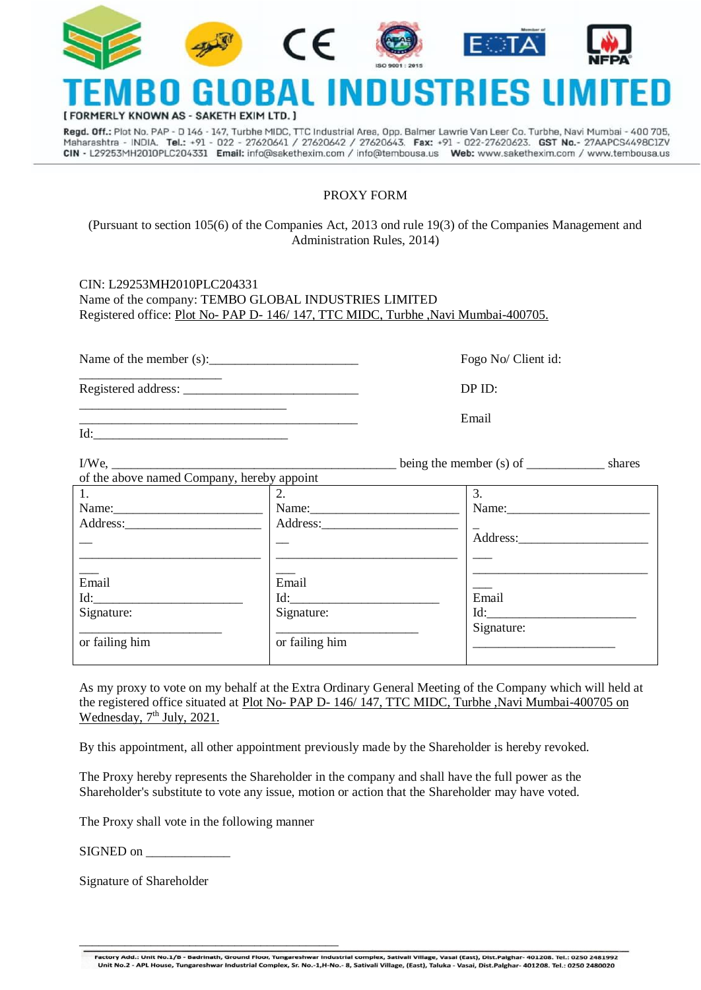

## 19 RLY KNOWN AS - SAKETH EXIM LT

Regd. Off.: Plot No. PAP - D 146 - 147, Turbhe MIDC, TTC Industrial Area, Opp. Balmer Lawrie Van Leer Co. Turbhe, Navi Mumbai - 400 705, Maharashtra - INDIA. Tel.: +91 - 022 - 27620641 / 27620642 / 27620643. Fax: +91 - 022-27620623. GST No.- 27AAPCS4498ClZV CIN - L29253MH2010PLC204331 Email: info@sakethexim.com / info@tembousa.us Web: www.sakethexim.com / www.tembousa.us

#### PROXY FORM

#### (Pursuant to section 105(6) of the Companies Act, 2013 ond rule 19(3) of the Companies Management and Administration Rules, 2014)

| CIN: L29253MH2010PLC204331                                                        |
|-----------------------------------------------------------------------------------|
| Name of the company: TEMBO GLOBAL INDUSTRIES LIMITED                              |
| Registered office: Plot No- PAP D- 146/147, TTC MIDC, Turbhe, Navi Mumbai-400705. |
|                                                                                   |

Name of the member (s): The member of the member (s): The member of the member of the member of the member of the member of the member of the member of the member of the member of the member of the member of the member of

\_\_\_\_\_\_\_\_\_\_\_\_\_\_\_\_\_\_\_\_\_\_ Registered address: \_\_\_\_\_\_\_\_\_\_\_\_\_\_\_\_\_\_\_\_\_\_\_\_\_\_\_ DP ID:

\_\_\_\_\_\_\_\_\_\_\_\_\_\_\_\_\_\_\_\_\_\_\_\_\_\_\_\_\_\_\_\_

\_\_\_\_\_\_\_\_\_\_\_\_\_\_\_\_\_\_\_\_\_\_\_\_\_\_\_\_\_\_\_\_\_\_\_\_\_\_\_\_\_\_\_ Email

 $Id:$ 

| of the above named Company, hereby appoint |                |            |
|--------------------------------------------|----------------|------------|
| 1.                                         | 2.             | 3.         |
|                                            | Name:          | Name:      |
|                                            |                |            |
|                                            |                | Address:   |
|                                            |                |            |
| Email                                      | Email          |            |
| Id:                                        | Id:            | Email      |
| Signature:                                 | Signature:     | Id:        |
| or failing him                             | or failing him | Signature: |

As my proxy to vote on my behalf at the Extra Ordinary General Meeting of the Company which will held at the registered office situated at Plot No- PAP D- 146/ 147, TTC MIDC, Turbhe ,Navi Mumbai-400705 on Wednesday, 7<sup>th</sup> July, 2021.

By this appointment, all other appointment previously made by the Shareholder is hereby revoked.

The Proxy hereby represents the Shareholder in the company and shall have the full power as the Shareholder's substitute to vote any issue, motion or action that the Shareholder may have voted.

The Proxy shall vote in the following manner

\_\_\_\_\_\_\_\_\_\_\_\_\_\_\_\_\_\_\_\_\_\_\_\_\_\_\_\_\_\_\_\_\_\_\_\_\_\_\_\_

SIGNED on \_\_\_\_\_\_\_\_\_\_\_\_\_

Signature of Shareholder